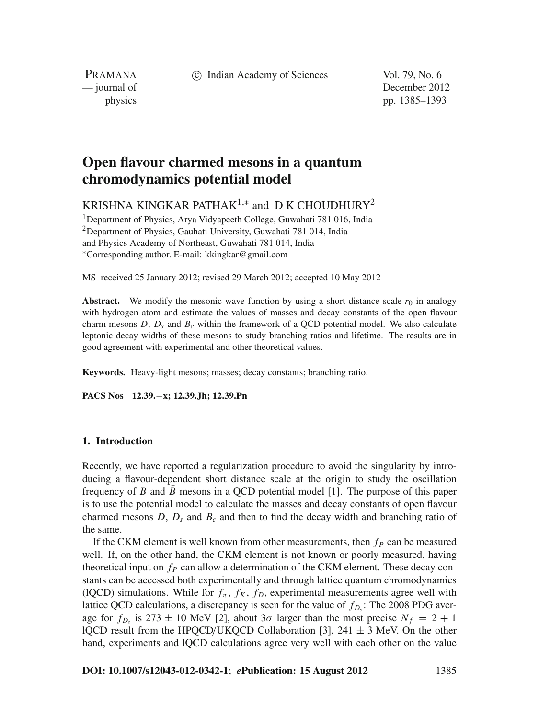c Indian Academy of Sciences Vol. 79, No. 6

PRAMANA

— journal of December 2012 physics pp. 1385–1393

# **Open flavour charmed mesons in a quantum chromodynamics potential model**

KRISHNA KINGKAR PATHAK<sup>1,\*</sup> and D K CHOUDHURY<sup>2</sup>

1Department of Physics, Arya Vidyapeeth College, Guwahati 781 016, India <sup>2</sup>Department of Physics, Gauhati University, Guwahati 781 014, India and Physics Academy of Northeast, Guwahati 781 014, India <sup>∗</sup>Corresponding author. E-mail: kkingkar@gmail.com

MS received 25 January 2012; revised 29 March 2012; accepted 10 May 2012

**Abstract.** We modify the mesonic wave function by using a short distance scale  $r_0$  in analogy with hydrogen atom and estimate the values of masses and decay constants of the open flavour charm mesons  $D$ ,  $D_s$  and  $B_c$  within the framework of a QCD potential model. We also calculate leptonic decay widths of these mesons to study branching ratios and lifetime. The results are in good agreement with experimental and other theoretical values.

**Keywords.** Heavy-light mesons; masses; decay constants; branching ratio.

**PACS Nos 12.39.**−**x; 12.39.Jh; 12.39.Pn**

## **1. Introduction**

Recently, we have reported a regularization procedure to avoid the singularity by introducing a flavour-dependent short distance scale at the origin to study the oscillation frequency of *B* and  $\bar{B}$  mesons in a QCD potential model [1]. The purpose of this paper is to use the potential model to calculate the masses and decay constants of open flavour charmed mesons  $D$ ,  $D_s$  and  $B_c$  and then to find the decay width and branching ratio of the same.

If the CKM element is well known from other measurements, then  $f<sub>P</sub>$  can be measured well. If, on the other hand, the CKM element is not known or poorly measured, having theoretical input on  $f<sub>P</sub>$  can allow a determination of the CKM element. These decay constants can be accessed both experimentally and through lattice quantum chromodynamics (lQCD) simulations. While for  $f_{\pi}$ ,  $f_{K}$ ,  $f_{D}$ , experimental measurements agree well with lattice QCD calculations, a discrepancy is seen for the value of  $f_{D}$ : The 2008 PDG average for  $f_{D_s}$  is 273  $\pm$  10 MeV [2], about 3 $\sigma$  larger than the most precise  $N_f = 2 + 1$ lQCD result from the HPQCD/UKQCD Collaboration [3],  $241 \pm 3$  MeV. On the other hand, experiments and lQCD calculations agree very well with each other on the value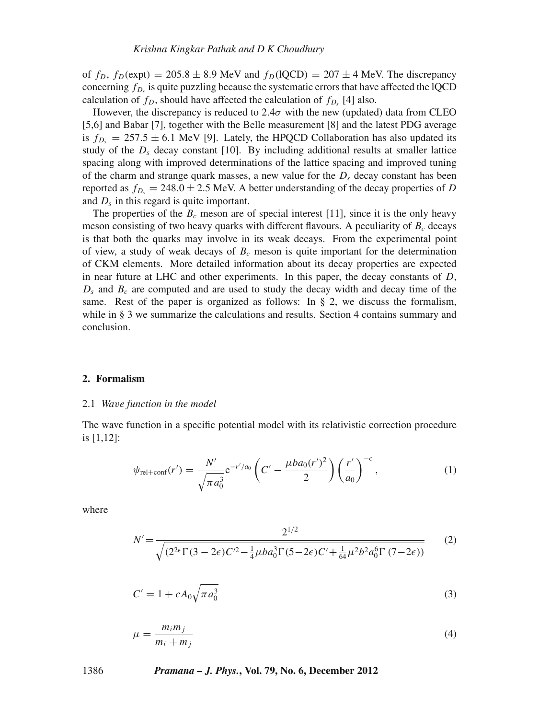of  $f_D$ ,  $f_D$ (expt) = 205.8  $\pm$  8.9 MeV and  $f_D$ (lQCD) = 207  $\pm$  4 MeV. The discrepancy concerning  $f_D$  is quite puzzling because the systematic errors that have affected the lQCD calculation of  $f_D$ , should have affected the calculation of  $f_{D<sub>s</sub>}$  [4] also.

However, the discrepancy is reduced to  $2.4\sigma$  with the new (updated) data from CLEO [5,6] and Babar [7], together with the Belle measurement [8] and the latest PDG average is  $f_{D_s} = 257.5 \pm 6.1$  MeV [9]. Lately, the HPQCD Collaboration has also updated its study of the  $D_s$  decay constant [10]. By including additional results at smaller lattice spacing along with improved determinations of the lattice spacing and improved tuning of the charm and strange quark masses, a new value for the  $D<sub>s</sub>$  decay constant has been reported as  $f_{D_s} = 248.0 \pm 2.5$  MeV. A better understanding of the decay properties of *D* and *Ds* in this regard is quite important.

The properties of the  $B_c$  meson are of special interest [11], since it is the only heavy meson consisting of two heavy quarks with different flavours. A peculiarity of  $B_c$  decays is that both the quarks may involve in its weak decays. From the experimental point of view, a study of weak decays of  $B<sub>c</sub>$  meson is quite important for the determination of CKM elements. More detailed information about its decay properties are expected in near future at LHC and other experiments. In this paper, the decay constants of *D*,  $D_s$  and  $B_c$  are computed and are used to study the decay width and decay time of the same. Rest of the paper is organized as follows: In § 2, we discuss the formalism, while in § 3 we summarize the calculations and results. Section 4 contains summary and conclusion.

#### **2. Formalism**

#### 2.1 *Wa*v*e function in the model*

The wave function in a specific potential model with its relativistic correction procedure is [1,12]:

$$
\psi_{\text{rel}+\text{conf}}(r') = \frac{N'}{\sqrt{\pi a_0^3}} e^{-r'/a_0} \left( C' - \frac{\mu ba_0(r')^2}{2} \right) \left( \frac{r'}{a_0} \right)^{-\epsilon},\tag{1}
$$

where

$$
N' = \frac{2^{1/2}}{\sqrt{(2^{2\epsilon}\Gamma(3 - 2\epsilon)C'^2 - \frac{1}{4}\mu ba_0^3 \Gamma(5 - 2\epsilon)C' + \frac{1}{64}\mu^2 b^2 a_0^6 \Gamma(7 - 2\epsilon))}}
$$
(2)

$$
C' = 1 + cA_0 \sqrt{\pi a_0^3}
$$
 (3)

$$
\mu = \frac{m_i m_j}{m_i + m_j} \tag{4}
$$

#### 1386 *Pramana – J. Phys.***, Vol. 79, No. 6, December 2012**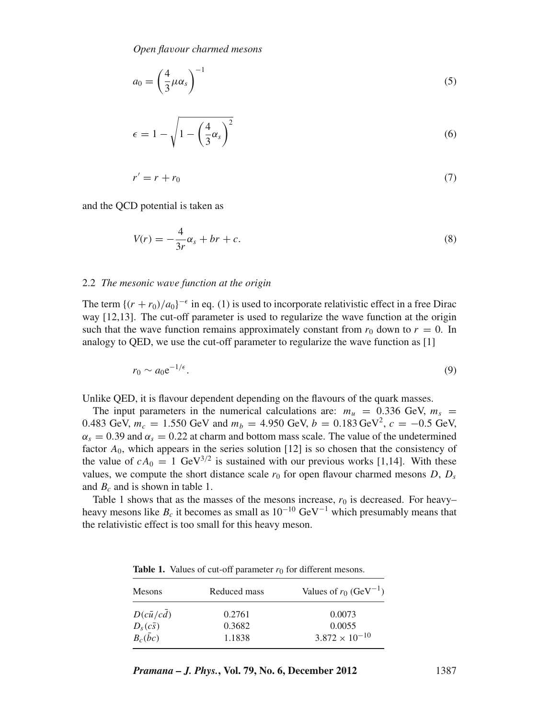$$
a_0 = \left(\frac{4}{3}\mu\alpha_s\right)^{-1} \tag{5}
$$

$$
\epsilon = 1 - \sqrt{1 - \left(\frac{4}{3}\alpha_s\right)^2} \tag{6}
$$

$$
r' = r + r_0 \tag{7}
$$

and the QCD potential is taken as

$$
V(r) = -\frac{4}{3r}\alpha_s + br + c.\tag{8}
$$

### 2.2 *The mesonic wa*v*e function at the origin*

The term  $\{(r + r_0)/a_0\}^{-\epsilon}$  in eq. (1) is used to incorporate relativistic effect in a free Dirac way [12,13]. The cut-off parameter is used to regularize the wave function at the origin such that the wave function remains approximately constant from  $r_0$  down to  $r = 0$ . In analogy to QED, we use the cut-off parameter to regularize the wave function as [1]

$$
r_0 \sim a_0 e^{-1/\epsilon}.\tag{9}
$$

Unlike QED, it is flavour dependent depending on the flavours of the quark masses.

The input parameters in the numerical calculations are:  $m_u = 0.336$  GeV,  $m_s =$ 0.483 GeV,  $m_c = 1.550$  GeV and  $m_b = 4.950$  GeV,  $b = 0.183$  GeV<sup>2</sup>,  $c = -0.5$  GeV,  $\alpha_s = 0.39$  and  $\alpha_s = 0.22$  at charm and bottom mass scale. The value of the undetermined factor  $A_0$ , which appears in the series solution [12] is so chosen that the consistency of the value of  $cA_0 = 1$  GeV<sup>3/2</sup> is sustained with our previous works [1,14]. With these values, we compute the short distance scale  $r_0$  for open flavour charmed mesons *D*,  $D_s$ and  $B_c$  and is shown in table 1.

Table 1 shows that as the masses of the mesons increase,  $r_0$  is decreased. For heavy– heavy mesons like  $B_c$  it becomes as small as  $10^{-10}$  GeV<sup>-1</sup> which presumably means that the relativistic effect is too small for this heavy meson.

| Mesons           | Reduced mass | Values of $r_0$ (GeV <sup>-1</sup> ) |
|------------------|--------------|--------------------------------------|
| $D(c\bar{u}/cd)$ | 0.2761       | 0.0073                               |
| $D_s(c\bar{s})$  | 0.3682       | 0.0055                               |
| $B_c(\bar{b}c)$  | 1.1838       | $3.872 \times 10^{-10}$              |

**Table 1.** Values of cut-off parameter  $r_0$  for different mesons.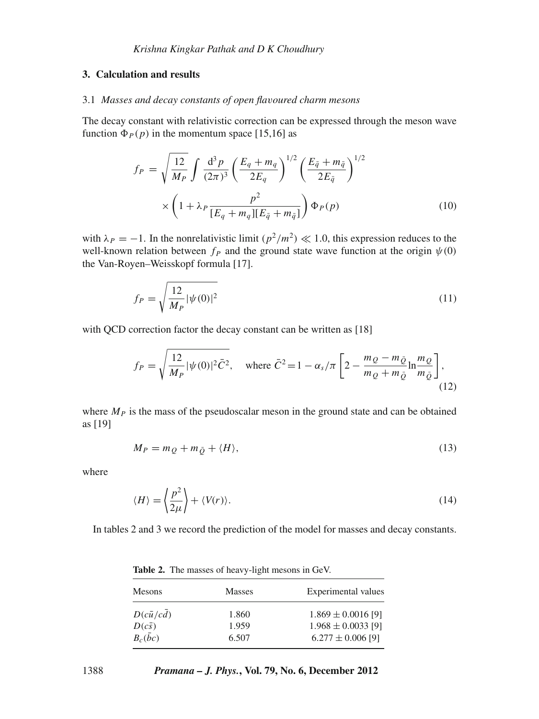### **3. Calculation and results**

#### 3.1 *Masses and decay constants of open fla*v*oured charm mesons*

The decay constant with relativistic correction can be expressed through the meson wave function  $\Phi_P(p)$  in the momentum space [15,16] as

$$
f_P = \sqrt{\frac{12}{M_P}} \int \frac{d^3 p}{(2\pi)^3} \left(\frac{E_q + m_q}{2E_q}\right)^{1/2} \left(\frac{E_{\bar{q}} + m_{\bar{q}}}{2E_{\bar{q}}}\right)^{1/2} \times \left(1 + \lambda_P \frac{p^2}{[E_q + m_q][E_{\bar{q}} + m_{\bar{q}}]}\right) \Phi_P(p)
$$
(10)

with  $\lambda_p = -1$ . In the nonrelativistic limit  $\left(p^2/m^2\right) \ll 1.0$ , this expression reduces to the well-known relation between  $f_P$  and the ground state wave function at the origin  $\psi(0)$ the Van-Royen–Weisskopf formula [17].

$$
f_P = \sqrt{\frac{12}{M_P}} |\psi(0)|^2
$$
 (11)

with QCD correction factor the decay constant can be written as [18]

$$
f_P = \sqrt{\frac{12}{M_P} |\psi(0)|^2 \bar{C}^2}, \quad \text{where } \bar{C}^2 = 1 - \alpha_s/\pi \left[ 2 - \frac{m_Q - m_{\bar{Q}}}{m_Q + m_{\bar{Q}}} \ln \frac{m_Q}{m_{\bar{Q}}} \right],
$$
\n(12)

where  $M_P$  is the mass of the pseudoscalar meson in the ground state and can be obtained as [19]

$$
M_P = m_Q + m_{\bar{Q}} + \langle H \rangle,\tag{13}
$$

where

$$
\langle H \rangle = \left\langle \frac{p^2}{2\mu} \right\rangle + \langle V(r) \rangle. \tag{14}
$$

In tables 2 and 3 we record the prediction of the model for masses and decay constants.

| Mesons                                                  | <b>Masses</b>           | Experimental values                                                       |
|---------------------------------------------------------|-------------------------|---------------------------------------------------------------------------|
| $D(c\bar{u}/cd)$<br>$\frac{D(c\bar{s})}{B_c(\bar{b}c)}$ | 1.860<br>1.959<br>6.507 | $1.869 \pm 0.0016$ [9]<br>$1.968 \pm 0.0033$ [9]<br>$6.277 \pm 0.006$ [9] |

**Table 2.** The masses of heavy-light mesons in GeV.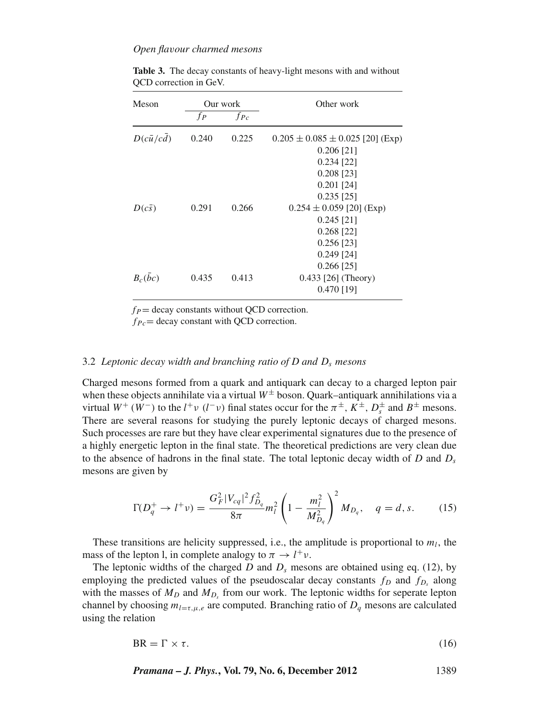### *Open fla*v*our charmed mesons*

| Meson            | Our work |          | Other work                             |  |
|------------------|----------|----------|----------------------------------------|--|
|                  | $f_{P}$  | $f_{Pc}$ |                                        |  |
| $D(c\bar{u}/cd)$ | 0.240    | 0.225    | $0.205 \pm 0.085 \pm 0.025$ [20] (Exp) |  |
|                  |          |          | $0.206$ [21]                           |  |
|                  |          |          | $0.234$ [22]                           |  |
|                  |          |          | $0.208$ [23]                           |  |
|                  |          |          | $0.201$ [24]                           |  |
|                  |          |          | $0.235$ [25]                           |  |
| $D(c\bar{s})$    | 0.291    | 0.266    | $0.254 \pm 0.059$ [20] (Exp)           |  |
|                  |          |          | $0.245$ [21]                           |  |
|                  |          |          | $0.268$ [22]                           |  |
|                  |          |          | $0.256$ [23]                           |  |
|                  |          |          | $0.249$ [24]                           |  |
|                  |          |          | $0.266$ [25]                           |  |
| $B_c(bc)$        | 0.435    | 0.413    | 0.433 [26] (Theory)                    |  |
|                  |          |          | $0.470$ [19]                           |  |

**Table 3.** The decay constants of heavy-light mesons with and without QCD correction in GeV.

 $f_P$  = decay constants without QCD correction.

 $f_{Pc}$  = decay constant with QCD correction.

### 3.2 *Leptonic decay width and branching ratio of D and Ds mesons*

Charged mesons formed from a quark and antiquark can decay to a charged lepton pair when these objects annihilate via a virtual  $W^{\pm}$  boson. Quark–antiquark annihilations via a virtual  $W^+$  ( $W^-$ ) to the  $l^+v$  ( $l^-v$ ) final states occur for the  $\pi^{\pm}$ ,  $K^{\pm}$ ,  $D_s^{\pm}$  and  $B^{\pm}$  mesons. There are several reasons for studying the purely leptonic decays of charged mesons. Such processes are rare but they have clear experimental signatures due to the presence of a highly energetic lepton in the final state. The theoretical predictions are very clean due to the absence of hadrons in the final state. The total leptonic decay width of  $D$  and  $D_s$ mesons are given by

$$
\Gamma(D_q^+ \to l^+ \nu) = \frac{G_F^2 |V_{cq}|^2 f_{D_q}^2}{8\pi} m_l^2 \left(1 - \frac{m_l^2}{M_{D_q}^2}\right)^2 M_{D_q}, \quad q = d, s. \tag{15}
$$

These transitions are helicity suppressed, i.e., the amplitude is proportional to  $m_l$ , the mass of the lepton l, in complete analogy to  $\pi \to l^+ \nu$ .

The leptonic widths of the charged  $D$  and  $D<sub>s</sub>$  mesons are obtained using eq. (12), by employing the predicted values of the pseudoscalar decay constants  $f_D$  and  $f_{D_s}$  along with the masses of  $M_D$  and  $M_D$ , from our work. The leptonic widths for seperate lepton channel by choosing  $m_{l=\tau,\mu,e}$  are computed. Branching ratio of  $D_q$  mesons are calculated using the relation

$$
BR = \Gamma \times \tau. \tag{16}
$$

*Pramana – J. Phys.***, Vol. 79, No. 6, December 2012** 1389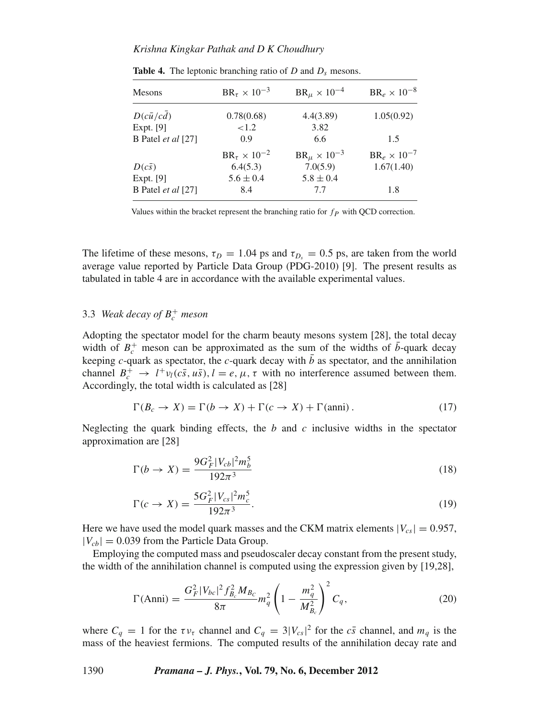| Mesons                    | $BR_{\tau} \times 10^{-3}$ | $BR_{\mu} \times 10^{-4}$ | $BR_e \times 10^{-8}$ |
|---------------------------|----------------------------|---------------------------|-----------------------|
| $D(c\bar{u}/cd)$          | 0.78(0.68)                 | 4.4(3.89)                 | 1.05(0.92)            |
| Expt. [9]                 | ${<}1.2$                   | 3.82                      |                       |
| B Patel et al [27]        | 0.9                        | 6.6                       | 1.5                   |
|                           | $BR_{\tau} \times 10^{-2}$ | $BR_{\mu} \times 10^{-3}$ | $BR_e \times 10^{-7}$ |
| $D(c\bar{s})$             | 6.4(5.3)                   | 7.0(5.9)                  | 1.67(1.40)            |
| Expt. [9]                 | $5.6 \pm 0.4$              | $5.8 \pm 0.4$             |                       |
| B Patel <i>et al</i> [27] | 8.4                        | 7.7                       | 1.8                   |

**Table 4.** The leptonic branching ratio of  $D$  and  $D_s$  mesons.

Values within the bracket represent the branching ratio for  $fp$  with QCD correction.

The lifetime of these mesons,  $\tau_D = 1.04$  ps and  $\tau_{D_s} = 0.5$  ps, are taken from the world average value reported by Particle Data Group (PDG-2010) [9]. The present results as tabulated in table 4 are in accordance with the available experimental values.

## 3.3 *Weak decay of*  $B_c^+$  *meson*

Adopting the spectator model for the charm beauty mesons system [28], the total decay width of  $B_c^+$  meson can be approximated as the sum of the widths of  $\bar{b}$ -quark decay keeping *c*-quark as spectator, the *c*-quark decay with  $\bar{b}$  as spectator, and the annihilation channel  $B_c^+ \to l^+ \nu_l(c\bar{s}, u\bar{s}), l = e, \mu, \tau$  with no interference assumed between them. Accordingly, the total width is calculated as [28]

$$
\Gamma(B_c \to X) = \Gamma(b \to X) + \Gamma(c \to X) + \Gamma(\text{anni}). \tag{17}
$$

Neglecting the quark binding effects, the *b* and *c* inclusive widths in the spectator approximation are [28]

$$
\Gamma(b \to X) = \frac{9G_F^2 |V_{cb}|^2 m_b^5}{192\pi^3} \tag{18}
$$

$$
\Gamma(c \to X) = \frac{5G_F^2 |V_{cs}|^2 m_c^5}{192\pi^3}.
$$
\n(19)

Here we have used the model quark masses and the CKM matrix elements  $|V_{cs}| = 0.957$ ,  $|V_{cb}| = 0.039$  from the Particle Data Group.

Employing the computed mass and pseudoscaler decay constant from the present study, the width of the annihilation channel is computed using the expression given by [19,28],

$$
\Gamma(\text{Anni}) = \frac{G_F^2 |V_{bc}|^2 f_{B_c}^2 M_{B_c}}{8\pi} m_q^2 \left(1 - \frac{m_q^2}{M_{B_c}^2}\right)^2 C_q,\tag{20}
$$

where  $C_q = 1$  for the  $\tau v_\tau$  channel and  $C_q = 3|V_{cs}|^2$  for the  $c\bar{s}$  channel, and  $m_q$  is the mass of the heaviest fermions. The computed results of the annihilation decay rate and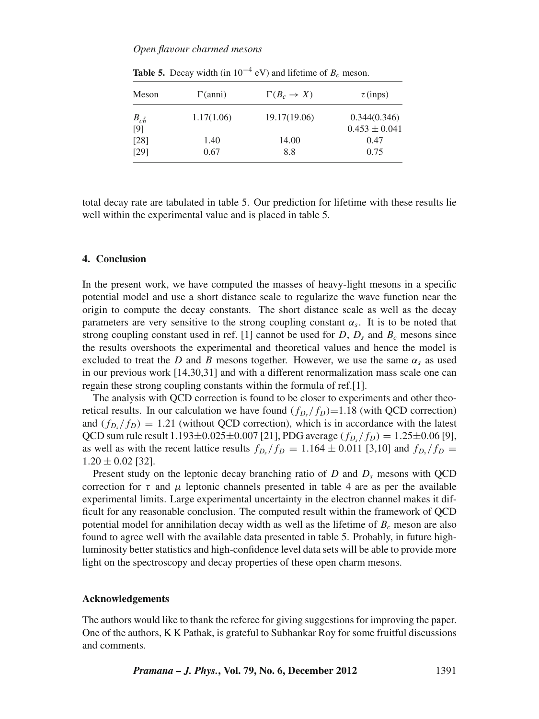| Meson          | $\Gamma(anni)$ | $\Gamma(B_c \to X)$ | $\tau$ (inps)     |
|----------------|----------------|---------------------|-------------------|
| $B_{c\bar{b}}$ | 1.17(1.06)     | 19.17(19.06)        | 0.344(0.346)      |
| [9]            |                |                     | $0.453 \pm 0.041$ |
| [28]           | 1.40           | 14.00               | 0.47              |
| [29]           | 0.67           | 8.8                 | 0.75              |

**Table 5.** Decay width (in  $10^{-4}$  eV) and lifetime of  $B_c$  meson.

total decay rate are tabulated in table 5. Our prediction for lifetime with these results lie well within the experimental value and is placed in table 5.

#### **4. Conclusion**

In the present work, we have computed the masses of heavy-light mesons in a specific potential model and use a short distance scale to regularize the wave function near the origin to compute the decay constants. The short distance scale as well as the decay parameters are very sensitive to the strong coupling constant  $\alpha_s$ . It is to be noted that strong coupling constant used in ref. [1] cannot be used for *D*,  $D_s$  and  $B_c$  mesons since the results overshoots the experimental and theoretical values and hence the model is excluded to treat the *D* and *B* mesons together. However, we use the same  $\alpha_s$  as used in our previous work [14,30,31] and with a different renormalization mass scale one can regain these strong coupling constants within the formula of ref.[1].

The analysis with QCD correction is found to be closer to experiments and other theoretical results. In our calculation we have found  $(f_D/f_D)=1.18$  (with QCD correction) and  $(f_{D_s}/f_D) = 1.21$  (without QCD correction), which is in accordance with the latest QCD sum rule result  $1.193 \pm 0.025 \pm 0.007$  [21], PDG average  $(f_{D_s}/f_D) = 1.25 \pm 0.06$  [9], as well as with the recent lattice results  $f_{D_s}/f_D = 1.164 \pm 0.011$  [3,10] and  $f_{D_s}/f_D =$  $1.20 \pm 0.02$  [32].

Present study on the leptonic decay branching ratio of  $D$  and  $D<sub>s</sub>$  mesons with QCD correction for  $\tau$  and  $\mu$  leptonic channels presented in table 4 are as per the available experimental limits. Large experimental uncertainty in the electron channel makes it difficult for any reasonable conclusion. The computed result within the framework of QCD potential model for annihilation decay width as well as the lifetime of  $B<sub>c</sub>$  meson are also found to agree well with the available data presented in table 5. Probably, in future highluminosity better statistics and high-confidence level data sets will be able to provide more light on the spectroscopy and decay properties of these open charm mesons.

#### **Acknowledgements**

The authors would like to thank the referee for giving suggestions for improving the paper. One of the authors, K K Pathak, is grateful to Subhankar Roy for some fruitful discussions and comments.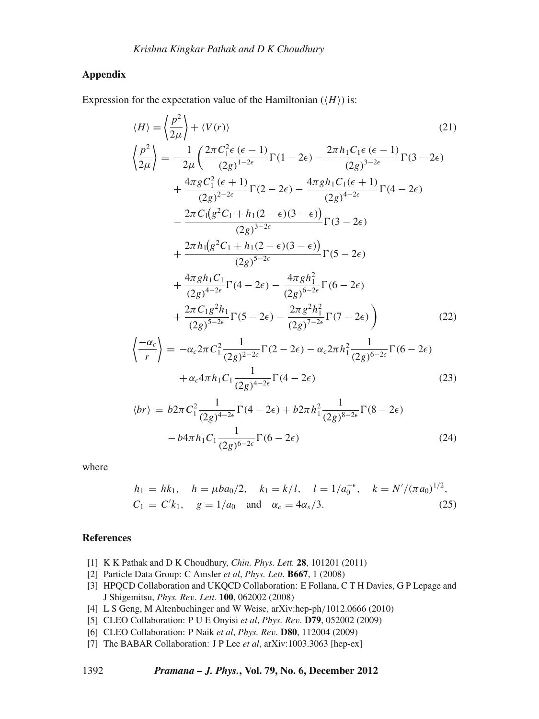## **Appendix**

Expression for the expectation value of the Hamiltonian  $(\langle H \rangle)$  is:

$$
\langle H \rangle = \left\langle \frac{p^2}{2\mu} \right\rangle + \langle V(r) \rangle
$$
(21)  
\n
$$
\left\langle \frac{p^2}{2\mu} \right\rangle = -\frac{1}{2\mu} \left( \frac{2\pi C_1^2 \epsilon (\epsilon - 1)}{(2g)^{1-2\epsilon}} \Gamma(1 - 2\epsilon) - \frac{2\pi h_1 C_1 \epsilon (\epsilon - 1)}{(2g)^{3-2\epsilon}} \Gamma(3 - 2\epsilon) + \frac{4\pi g C_1^2 (\epsilon + 1)}{(2g)^{2-2\epsilon}} \Gamma(2 - 2\epsilon) - \frac{4\pi g h_1 C_1 (\epsilon + 1)}{(2g)^{4-2\epsilon}} \Gamma(4 - 2\epsilon) - \frac{2\pi C_1 (g^2 C_1 + h_1 (2 - \epsilon)(3 - \epsilon))}{(2g)^{3-2\epsilon}} \Gamma(3 - 2\epsilon) + \frac{2\pi h_1 (g^2 C_1 + h_1 (2 - \epsilon)(3 - \epsilon))}{(2g)^{5-2\epsilon}} \Gamma(5 - 2\epsilon) + \frac{4\pi g h_1 C_1}{(2g)^{4-2\epsilon}} \Gamma(4 - 2\epsilon) - \frac{4\pi g h_1^2}{(2g)^{6-2\epsilon}} \Gamma(6 - 2\epsilon) + \frac{2\pi C_1 g^2 h_1}{(2g)^{5-2\epsilon}} \Gamma(5 - 2\epsilon) - \frac{2\pi g^2 h_1^2}{(2g)^{7-2\epsilon}} \Gamma(7 - 2\epsilon) \right)
$$
(22)  
\n
$$
\left\langle \frac{-\alpha_c}{r} \right\rangle = -\alpha_c 2\pi C_1^2 \frac{1}{(2g)^{2-2\epsilon}} \Gamma(2 - 2\epsilon) - \alpha_c 2\pi h_1^2 \frac{1}{(2g)^{6-2\epsilon}} \Gamma(6 - 2\epsilon) + \alpha_c 4\pi h_1 C_1 \frac{1}{(2g)^{4-2\epsilon}} \Gamma(4 - 2\epsilon)
$$
(23)

$$
\langle br \rangle = b2\pi C_1^2 \frac{1}{(2g)^{4-2\epsilon}} \Gamma(4-2\epsilon) + b2\pi h_1^2 \frac{1}{(2g)^{8-2\epsilon}} \Gamma(8-2\epsilon) - b4\pi h_1 C_1 \frac{1}{(2g)^{6-2\epsilon}} \Gamma(6-2\epsilon)
$$
 (24)

where

$$
h_1 = hk_1
$$
,  $h = \mu ba_0/2$ ,  $k_1 = k/l$ ,  $l = 1/a_0^{-\epsilon}$ ,  $k = N'/(\pi a_0)^{1/2}$ ,  
\n $C_1 = C'k_1$ ,  $g = 1/a_0$  and  $\alpha_c = 4\alpha_s/3$ . (25)

## **References**

- [1] K K Pathak and D K Choudhury, *Chin. Phys. Lett.* **28**, 101201 (2011)
- [2] Particle Data Group: C Amsler *et al*, *Phys. Lett.* **B667**, 1 (2008)
- [3] HPQCD Collaboration and UKQCD Collaboration: E Follana, C T H Davies, G P Lepage and J Shigemitsu, *Phys. Re*v*. Lett.* **100**, 062002 (2008)
- [4] L S Geng, M Altenbuchinger and W Weise, arXiv:hep-ph/1012.0666 (2010)
- [5] CLEO Collaboration: P U E Onyisi *et al*, *Phys. Re*v*.* **D79**, 052002 (2009)
- [6] CLEO Collaboration: P Naik *et al*, *Phys. Re*v*.* **D80**, 112004 (2009)
- [7] The BABAR Collaboration: J P Lee *et al*, arXiv:1003.3063 [hep-ex]